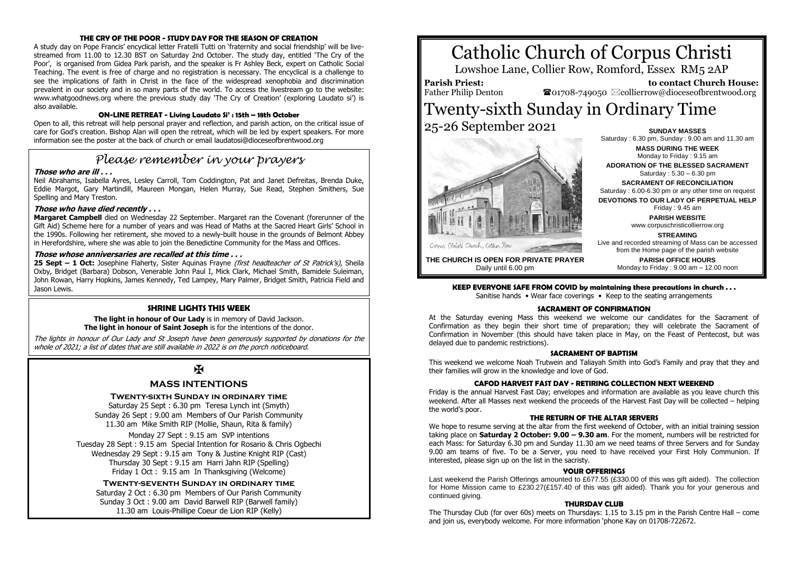#### **THE CRY OF THE POOR - STUDY DAY FOR THE SEASON OF CREATION**

A study day on Pope Francis' encyclical letter Fratelli Tutti on 'fraternity and social friendship' will be livestreamed from 11.00 to 12.30 BST on Saturday 2nd October. The study day, entitled 'The Cry of the Poor', is organised from Gidea Park parish, and the speaker is Fr Ashley Beck, expert on Catholic Social Teaching. The event is free of charge and no registration is necessary. The encyclical is a challenge to see the implications of faith in Christ in the face of the widespread xenophobia and discrimination prevalent in our society and in so many parts of the world. To access the livestream go to the website: www.whatgoodnews.org where the previous study day 'The Cry of Creation' (exploring Laudato si') is also available.

#### **ON-LINE RETREAT - Living Laudato Si' : 15th – 18th October**

Open to all, this retreat will help personal prayer and reflection, and parish action, on the critical issue of care for God's creation. Bishop Alan will open the retreat, which will be led by expert speakers. For more information see the poster at the back of church or email laudatosi@dioceseofbrentwood.org

# *Please remember in your prayers*

#### **Those who are ill . . .**

Neil Abrahams, Isabella Ayres, Lesley Carroll, Tom Coddington, Pat and Janet Defreitas, Brenda Duke, Eddie Margot, Gary Martindill, Maureen Mongan, Helen Murray, Sue Read, Stephen Smithers, Sue Spelling and Mary Treston.

#### **Those who have died recently . . .**

**Margaret Campbell** died on Wednesday 22 September. Margaret ran the Covenant (forerunner of the Gift Aid) Scheme here for a number of years and was Head of Maths at the Sacred Heart Girls' School in the 1990s. Following her retirement, she moved to a newly-built house in the grounds of Belmont Abbey in Herefordshire, where she was able to join the Benedictine Community for the Mass and Offices.

#### **Those whose anniversaries are recalled at this time . . .**

**25 Sept – 1 Oct:** Josephine Flaherty, Sister Aquinas Frayne (first headteacher of St Patrick's), Sheila Oxby, Bridget (Barbara) Dobson, Venerable John Paul I, Mick Clark, Michael Smith, Bamidele Suleiman, John Rowan, Harry Hopkins, James Kennedy, Ted Lampey, Mary Palmer, Bridget Smith, Patricia Field and Jason Lewis.

#### **SHRINE LIGHTS THIS WEEK**

**The light in honour of Our Lady** is in memory of David Jackson. **The light in honour of Saint Joseph** is for the intentions of the donor.

The lights in honour of Our Lady and St Joseph have been generously supported by donations for the whole of 2021; a list of dates that are still available in 2022 is on the porch noticeboard.

# Ж

## **MASS INTENTIONS**

#### **Twenty-sixth Sunday in ordinary time**

Saturday 25 Sept : 6.30 pm Teresa Lynch int (Smyth) Sunday 26 Sept : 9.00 am Members of Our Parish Community 11.30 am Mike Smith RIP (Mollie, Shaun, Rita & family)

Monday 27 Sept : 9.15 am SVP intentions Tuesday 28 Sept : 9.15 am Special Intention for Rosario & Chris Ogbechi Wednesday 29 Sept : 9.15 am Tony & Justine Knight RIP (Cast) Thursday 30 Sept : 9.15 am Harri Jahn RIP (Spelling) Friday 1 Oct : 9.15 am In Thanksgiving (Welcome)

**Twenty-seventh Sunday in ordinary time** Saturday 2 Oct : 6.30 pm Members of Our Parish Community Sunday 3 Oct : 9.00 am David Barwell RIP (Barwell family) 11.30 am Louis-Phillipe Coeur de Lion RIP (Kelly)

# Catholic Church of Corpus Christi

Lowshoe Lane, Collier Row, Romford, Essex RM5 2AP

**Parish Priest:** Father Philip Denton

 **to contact Church House:**  $\bullet$ 01708-749050  $\boxtimes$ collierrow@dioceseofbrentwood.org

## Twenty-sixth Sunday in Ordinary Time 25-26 September 2021 **SUNDAY MASSES**



Saturday : 6.30 pm, Sunday : 9.00 am and 11.30 am **MASS DURING THE WEEK** Monday to Friday : 9.15 am **ADORATION OF THE BLESSED SACRAMENT** Saturday : 5.30 – 6.30 pm **SACRAMENT OF RECONCILIATION** Saturday : 6.00-6.30 pm or any other time on request **DEVOTIONS TO OUR LADY OF PERPETUAL HELP** Friday : 9.45 am **PARISH WEBSITE** www.corpuschristicollierrow.org **STREAMING**

**THE CHURCH IS OPEN FOR PRIVATE PRAYER** Daily until 6.00 pm

from the Home page of the parish website **PARISH OFFICE HOURS** Monday to Friday : 9.00 am – 12.00 noon

Live and recorded streaming of Mass can be accessed

**KEEP EVERYONE SAFE FROM COVID by maintaining these precautions in church . . .**

Sanitise hands • Wear face coverings • Keep to the seating arrangements

#### **SACRAMENT OF CONFIRMATION**

At the Saturday evening Mass this weekend we welcome our candidates for the Sacrament of Confirmation as they begin their short time of preparation; they will celebrate the Sacrament of Confirmation in November (this should have taken place in May, on the Feast of Pentecost, but was delayed due to pandemic restrictions).

#### **SACRAMENT OF BAPTISM**

This weekend we welcome Noah Trutwein and Taliayah Smith into God's Family and pray that they and their families will grow in the knowledge and love of God.

#### **CAFOD HARVEST FAST DAY - RETIRING COLLECTION NEXT WEEKEND**

Friday is the annual Harvest Fast Day; envelopes and information are available as you leave church this weekend. After all Masses next weekend the proceeds of the Harvest Fast Day will be collected – helping the world's poor.

#### **THE RETURN OF THE ALTAR SERVERS**

We hope to resume serving at the altar from the first weekend of October, with an initial training session taking place on **Saturday 2 October: 9.00 – 9.30 am**. For the moment, numbers will be restricted for each Mass: for Saturday 6.30 pm and Sunday 11.30 am we need teams of three Servers and for Sunday 9.00 am teams of five. To be a Server, you need to have received your First Holy Communion. If interested, please sign up on the list in the sacristy.

#### **YOUR OFFERINGS**

Last weekend the Parish Offerings amounted to £677.55 (£330.00 of this was gift aided). The collection for Home Mission came to £230.27(£157.40 of this was gift aided). Thank you for your generous and continued giving.

#### **THURSDAY CLUB**

The Thursday Club (for over 60s) meets on Thursdays: 1.15 to 3.15 pm in the Parish Centre Hall – come and join us, everybody welcome. For more information 'phone Kay on 01708-722672.